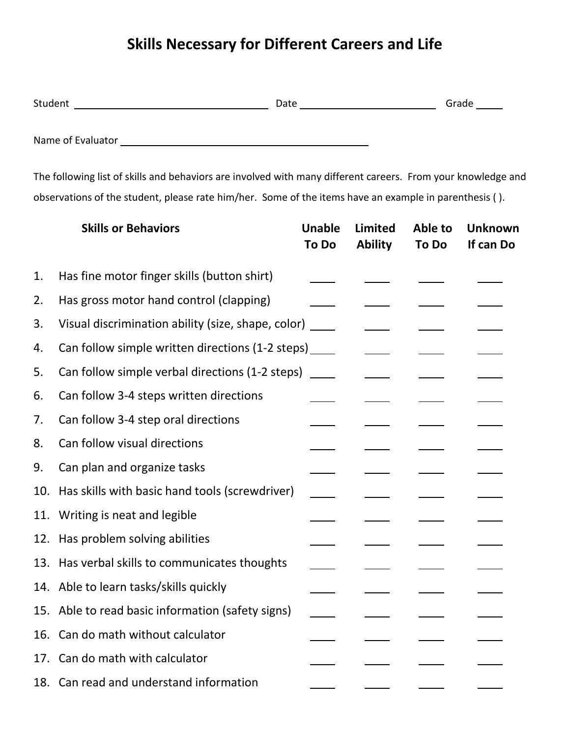## **Skills Necessary for Different Careers and Life**

| Stud | `⊐t∆<br>- - - - - |  |
|------|-------------------|--|
|      |                   |  |

Name of Evaluator

The following list of skills and behaviors are involved with many different careers. From your knowledge and observations of the student, please rate him/her. Some of the items have an example in parenthesis ( ).

|     | <b>Skills or Behaviors</b>                             | <b>Unable</b><br><b>To Do</b> | <b>Limited</b><br><b>Ability</b> | Able to<br><b>To Do</b> | <b>Unknown</b><br>If can Do |
|-----|--------------------------------------------------------|-------------------------------|----------------------------------|-------------------------|-----------------------------|
| 1.  | Has fine motor finger skills (button shirt)            |                               |                                  |                         |                             |
| 2.  | Has gross motor hand control (clapping)                |                               |                                  |                         |                             |
| 3.  | Visual discrimination ability (size, shape, color)     |                               |                                  |                         |                             |
| 4.  | Can follow simple written directions (1-2 steps) _____ |                               |                                  |                         |                             |
| 5.  | Can follow simple verbal directions (1-2 steps)        |                               |                                  |                         |                             |
| 6.  | Can follow 3-4 steps written directions                |                               |                                  |                         |                             |
| 7.  | Can follow 3-4 step oral directions                    |                               |                                  |                         |                             |
| 8.  | Can follow visual directions                           |                               |                                  |                         |                             |
| 9.  | Can plan and organize tasks                            |                               |                                  |                         |                             |
| 10. | Has skills with basic hand tools (screwdriver)         |                               |                                  |                         |                             |
| 11. | Writing is neat and legible                            |                               |                                  |                         |                             |
| 12. | Has problem solving abilities                          |                               |                                  |                         |                             |
| 13. | Has verbal skills to communicates thoughts             |                               |                                  |                         |                             |
| 14. | Able to learn tasks/skills quickly                     |                               |                                  |                         |                             |
|     | 15. Able to read basic information (safety signs)      |                               |                                  |                         |                             |
| 16. | Can do math without calculator                         |                               |                                  |                         |                             |
| 17. | Can do math with calculator                            |                               |                                  |                         |                             |
|     | 18. Can read and understand information                |                               |                                  |                         |                             |